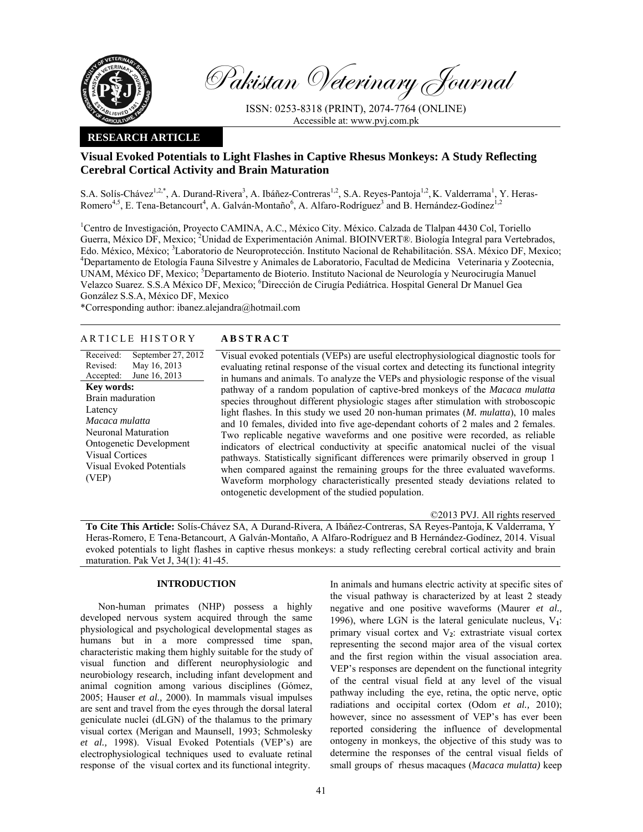

Pakistan Veterinary Journal

ISSN: 0253-8318 (PRINT), 2074-7764 (ONLINE) Accessible at: www.pvj.com.pk

# **RESEARCH ARTICLE**

# **Visual Evoked Potentials to Light Flashes in Captive Rhesus Monkeys: A Study Reflecting Cerebral Cortical Activity and Brain Maturation**

S.A. Solís-Chávez<sup>1,2,\*</sup>, A. Durand-Rivera<sup>3</sup>, A. Ibáñez-Contreras<sup>1,2</sup>, S.A. Reyes-Pantoja<sup>1,2</sup>, K. Valderrama<sup>1</sup>, Y. Heras-Romero<sup>4,5</sup>, E. Tena-Betancourt<sup>4</sup>, A. Galván-Montaño<sup>6</sup>, A. Alfaro-Rodríguez<sup>3</sup> and B. Hernández-Godínez<sup>1,2</sup>

<sup>1</sup>Centro de Investigación, Proyecto CAMINA, A.C., México City. México. Calzada de Tlalpan 4430 Col, Toriello Guerra, México DF, Mexico; <sup>2</sup>Unidad de Experimentación Animal. BIOINVERT®. Biología Integral para Vertebrados, Edo. México, México; <sup>3</sup>Laboratorio de Neuroprotección. Instituto Nacional de Rehabilitación. SSA. México DF, Mexico;<br><sup>4</sup>Departemento de Etalogía Fauna Silvestra y Animales de Laboratorio. Fegultad de Medicina, Veterinaria Departamento de Etología Fauna Silvestre y Animales de Laboratorio, Facultad de Medicina Veterinaria y Zootecnia, UNAM, México DF, Mexico; <sup>5</sup>Departamento de Bioterio. Instituto Nacional de Neurología y Neurocirugía Manuel Velazco Suarez. S.S.A México DF, Mexico; <sup>6</sup>Dirección de Cirugía Pediátrica. Hospital General Dr Manuel Gea González S.S.A, México DF, Mexico

\*Corresponding author: ibanez.alejandra@hotmail.com

# ARTICLE HISTORY **ABSTRACT**

Received: Revised: Accepted: September 27, 2012 May 16, 2013 June 16, 2013 **Key words:**  Brain maduration Latency *Macaca mulatta* Neuronal Maturation Ontogenetic Development Visual Cortices Visual Evoked Potentials (VEP)

 Visual evoked potentials (VEPs) are useful electrophysiological diagnostic tools for evaluating retinal response of the visual cortex and detecting its functional integrity in humans and animals. To analyze the VEPs and physiologic response of the visual pathway of a random population of captive-bred monkeys of the *Macaca mulatta*  species throughout different physiologic stages after stimulation with stroboscopic light flashes. In this study we used 20 non-human primates (*M. mulatta*), 10 males and 10 females, divided into five age-dependant cohorts of 2 males and 2 females. Two replicable negative waveforms and one positive were recorded, as reliable indicators of electrical conductivity at specific anatomical nuclei of the visual pathways. Statistically significant differences were primarily observed in group 1 when compared against the remaining groups for the three evaluated waveforms. Waveform morphology characteristically presented steady deviations related to ontogenetic development of the studied population.

©2013 PVJ. All rights reserved

**To Cite This Article:** Solís-Chávez SA, A Durand-Rivera, A Ibáñez-Contreras, SA Reyes-Pantoja, K Valderrama, Y Heras-Romero, E Tena-Betancourt, A Galván-Montaño, A Alfaro-Rodríguez and B Hernández-Godínez, 2014. Visual evoked potentials to light flashes in captive rhesus monkeys: a study reflecting cerebral cortical activity and brain maturation. Pak Vet J, 34(1): 41-45.

# **INTRODUCTION**

Non-human primates (NHP) possess a highly developed nervous system acquired through the same physiological and psychological developmental stages as humans but in a more compressed time span, characteristic making them highly suitable for the study of visual function and different neurophysiologic and neurobiology research, including infant development and animal cognition among various disciplines (Gómez, 2005; Hauser *et al.,* 2000). In mammals visual impulses are sent and travel from the eyes through the dorsal lateral geniculate nuclei (dLGN) of the thalamus to the primary visual cortex (Merigan and Maunsell, 1993; Schmolesky *et al.,* 1998). Visual Evoked Potentials (VEP's) are electrophysiological techniques used to evaluate retinal response of the visual cortex and its functional integrity.

In animals and humans electric activity at specific sites of the visual pathway is characterized by at least 2 steady negative and one positive waveforms (Maurer *et al.,*  1996), where LGN is the lateral geniculate nucleus,  $V_1$ : primary visual cortex and V**2**: extrastriate visual cortex representing the second major area of the visual cortex and the first region within the visual association area. VEP's responses are dependent on the functional integrity of the central visual field at any level of the visual pathway including the eye, retina, the optic nerve, optic radiations and occipital cortex (Odom *et al.,* 2010); however, since no assessment of VEP's has ever been reported considering the influence of developmental ontogeny in monkeys, the objective of this study was to determine the responses of the central visual fields of small groups of rhesus macaques (*Macaca mulatta)* keep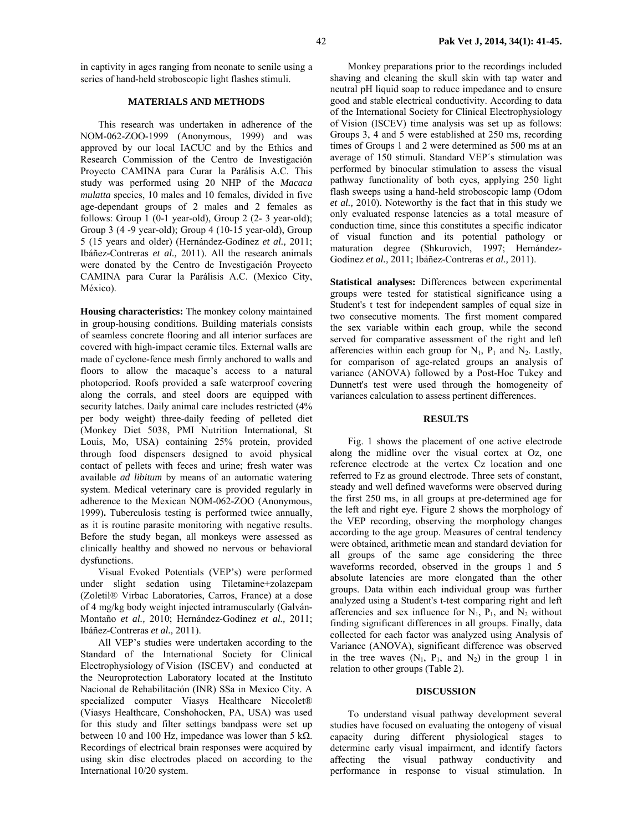in captivity in ages ranging from neonate to senile using a series of hand-held stroboscopic light flashes stimuli.

## **MATERIALS AND METHODS**

This research was undertaken in adherence of the NOM-062-ZOO-1999 (Anonymous, 1999) and was approved by our local IACUC and by the Ethics and Research Commission of the Centro de Investigación Proyecto CAMINA para Curar la Parálisis A.C. This study was performed using 20 NHP of the *Macaca mulatta* species, 10 males and 10 females, divided in five age-dependant groups of 2 males and 2 females as follows: Group 1 (0-1 year-old), Group 2 (2- 3 year-old); Group 3 (4 -9 year-old); Group 4 (10-15 year-old), Group 5 (15 years and older) (Hernández-Godínez *et al.,* 2011; Ibáñez-Contreras *et al.,* 2011). All the research animals were donated by the Centro de Investigación Proyecto CAMINA para Curar la Parálisis A.C. (Mexico City, México).

**Housing characteristics:** The monkey colony maintained in group-housing conditions. Building materials consists of seamless concrete flooring and all interior surfaces are covered with high-impact ceramic tiles. External walls are made of cyclone-fence mesh firmly anchored to walls and floors to allow the macaque's access to a natural photoperiod. Roofs provided a safe waterproof covering along the corrals, and steel doors are equipped with security latches. Daily animal care includes restricted  $(4\%$ per body weight) three-daily feeding of pelleted diet (Monkey Diet 5038, PMI Nutrition International, St Louis, Mo, USA) containing 25% protein, provided through food dispensers designed to avoid physical contact of pellets with feces and urine; fresh water was available *ad libitum* by means of an automatic watering system. Medical veterinary care is provided regularly in adherence to the Mexican NOM-062-ZOO (Anonymous, 1999)**.** Tuberculosis testing is performed twice annually, as it is routine parasite monitoring with negative results. Before the study began, all monkeys were assessed as clinically healthy and showed no nervous or behavioral dysfunctions.

Visual Evoked Potentials (VEP's) were performed under slight sedation using Tiletamine+zolazepam (Zoletil® Virbac Laboratories, Carros, France) at a dose of 4 mg/kg body weight injected intramuscularly (Galván-Montaño *et al.,* 2010; Hernández-Godínez *et al.,* 2011; Ibáñez-Contreras *et al.,* 2011).

All VEP's studies were undertaken according to the Standard of the International Society for Clinical Electrophysiology of Vision (ISCEV) and conducted at the Neuroprotection Laboratory located at the Instituto Nacional de Rehabilitación (INR) SSa in Mexico City. A specialized computer Viasys Healthcare Niccolet<sup>®</sup> (Viasys Healthcare, Conshohocken, PA, USA) was used for this study and filter settings bandpass were set up between 10 and 100 Hz, impedance was lower than 5 kΩ. Recordings of electrical brain responses were acquired by using skin disc electrodes placed on according to the International 10/20 system.

Monkey preparations prior to the recordings included shaving and cleaning the skull skin with tap water and neutral pH liquid soap to reduce impedance and to ensure good and stable electrical conductivity. According to data of the International Society for Clinical Electrophysiology of Vision (ISCEV) time analysis was set up as follows: Groups 3, 4 and 5 were established at 250 ms, recording times of Groups 1 and 2 were determined as 500 ms at an average of 150 stimuli. Standard VEP´s stimulation was performed by binocular stimulation to assess the visual pathway functionality of both eyes, applying 250 light flash sweeps using a hand-held stroboscopic lamp (Odom *et al.,* 2010). Noteworthy is the fact that in this study we only evaluated response latencies as a total measure of conduction time, since this constitutes a specific indicator of visual function and its potential pathology or maturation degree (Shkurovich, 1997; Hernández-Godínez *et al.,* 2011; Ibáñez-Contreras *et al.,* 2011).

**Statistical analyses:** Differences between experimental groups were tested for statistical significance using a Student's t test for independent samples of equal size in two consecutive moments. The first moment compared the sex variable within each group, while the second served for comparative assessment of the right and left afferencies within each group for  $N_1$ ,  $P_1$  and  $N_2$ . Lastly, for comparison of age-related groups an analysis of variance (ANOVA) followed by a Post-Hoc Tukey and Dunnett's test were used through the homogeneity of variances calculation to assess pertinent differences.

### **RESULTS**

Fig. 1 shows the placement of one active electrode along the midline over the visual cortex at Oz, one reference electrode at the vertex Cz location and one referred to Fz as ground electrode. Three sets of constant, steady and well defined waveforms were observed during the first 250 ms, in all groups at pre-determined age for the left and right eye. Figure 2 shows the morphology of the VEP recording, observing the morphology changes according to the age group. Measures of central tendency were obtained, arithmetic mean and standard deviation for all groups of the same age considering the three waveforms recorded, observed in the groups 1 and 5 absolute latencies are more elongated than the other groups. Data within each individual group was further analyzed using a Student's t-test comparing right and left afferencies and sex influence for  $N_1$ ,  $P_1$ , and  $N_2$  without finding significant differences in all groups. Finally, data collected for each factor was analyzed using Analysis of Variance (ANOVA), significant difference was observed in the tree waves  $(N_1, P_1,$  and  $N_2)$  in the group 1 in relation to other groups (Table 2).

#### **DISCUSSION**

To understand visual pathway development several studies have focused on evaluating the ontogeny of visual capacity during different physiological stages to determine early visual impairment, and identify factors affecting the visual pathway conductivity and performance in response to visual stimulation. In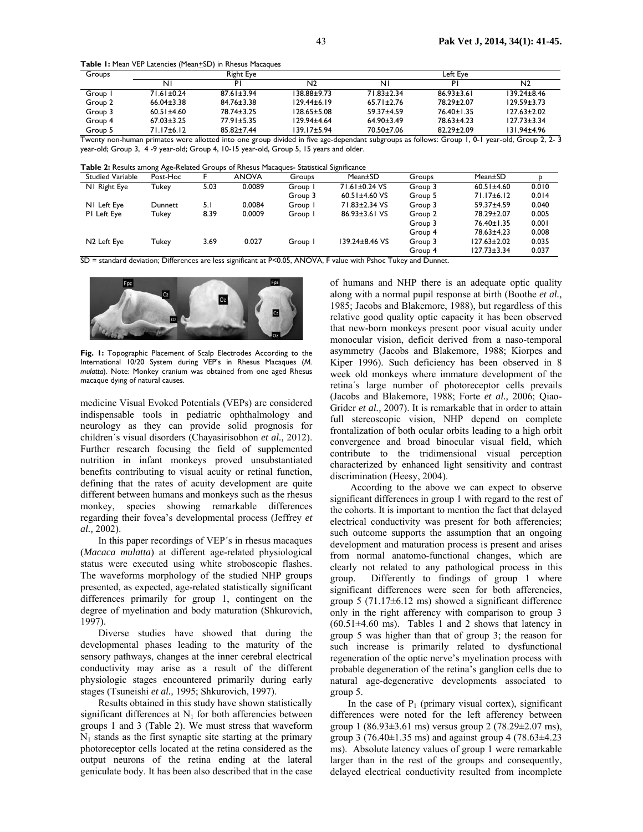**Table 1:** Mean VEP Latencies (Mean+SD) in Rhesus Macaques

| Groups  |                  | Right Eye        |                   | Left Eve         |                  |                   |  |
|---------|------------------|------------------|-------------------|------------------|------------------|-------------------|--|
|         | ΝI               | P١               | N <sub>2</sub>    | ΝI               | PI               | N2                |  |
| Group I | $71.61 \pm 0.24$ | 87.61+3.94       | 138.88±9.73       | 71 83+2 34       | $86.93 \pm 3.61$ | 139.24±8.46       |  |
| Group 2 | $66.04 \pm 3.38$ | $84.76 \pm 3.38$ | $129.44 \pm 6.19$ | $65.71 \pm 2.76$ | 78.29±2.07       | $129.59 \pm 3.73$ |  |
| Group 3 | $60.51 \pm 4.60$ | 78.74±3.25       | $128.65 \pm 5.08$ | $59.37 + 4.59$   | 76.40±1.35       | $127.63 \pm 2.02$ |  |
| Group 4 | $67.03 \pm 3.25$ | $77.91 \pm 5.35$ | $129.94 \pm 4.64$ | $64.90 \pm 3.49$ | 78.63±4.23       | $127.73 \pm 3.34$ |  |
| Group 5 | 71.17±6.12       | $85.82 \pm 7.44$ | $139.17 \pm 5.94$ | 70.50±7.06       | $82.29 \pm 2.09$ | 131.94±4.96       |  |

Twenty non-human primates were allotted into one group divided in five age-dependant subgroups as follows: Group 1, 0-1 year-old, Group 2, 2- 3 year-old; Group 3, 4 -9 year-old; Group 4, 10-15 year-old, Group 5, 15 years and older.

**Table 2:** Results among Age-Related Groups of Rhesus Macaques- Statistical Significance

| <b>I able 2.</b> Results alliong Age-Related Groups of Rilesus Placagues- Statistical Significance |          |      |        |         |                             |         |                   |       |  |  |  |  |
|----------------------------------------------------------------------------------------------------|----------|------|--------|---------|-----------------------------|---------|-------------------|-------|--|--|--|--|
| <b>Studied Variable</b>                                                                            | Post-Hoc |      | ANOVA  | Groups  | Mean±SD                     | Groups  | Mean±SD           |       |  |  |  |  |
| NI Right Eye                                                                                       | Tukey    | 5.03 | 0.0089 | Group I | 71.61±0.24 VS               | Group 3 | $60.51 \pm 4.60$  | 0.010 |  |  |  |  |
|                                                                                                    |          |      |        | Group 3 | $60.51 \pm 4.60 \text{ VS}$ | Group 5 | $71.17\pm 6.12$   | 0.014 |  |  |  |  |
| NI Left Eye                                                                                        | Dunnett  | 5. I | 0.0084 | Group I | 71.83±2.34 VS               | Group 3 | 59.37±4.59        | 0.040 |  |  |  |  |
| PI Left Eye                                                                                        | Tukey    | 8.39 | 0.0009 | Group I | 86.93±3.61 VS               | Group 2 | 78.29±2.07        | 0.005 |  |  |  |  |
|                                                                                                    |          |      |        |         |                             | Group 3 | 76.40±1.35        | 0.001 |  |  |  |  |
|                                                                                                    |          |      |        |         |                             | Group 4 | 78.63±4.23        | 0.008 |  |  |  |  |
| N <sub>2</sub> Left Eye                                                                            | Tukey    | 3.69 | 0.027  | Group I | 139.24±8.46 VS              | Group 3 | $127.63 \pm 2.02$ | 0.035 |  |  |  |  |
|                                                                                                    |          |      |        |         |                             | Group 4 | $127.73 \pm 3.34$ | 0.037 |  |  |  |  |

SD = standard deviation; Differences are less significant at P<0.05, ANOVA, F value with Pshoc Tukey and Dunnet.



**Fig. 1:** Topographic Placement of Scalp Electrodes According to the International 10/20 System during VEP's in Rhesus Macaques (*M. mulatta*). Note: Monkey cranium was obtained from one aged Rhesus macaque dying of natural causes.

medicine Visual Evoked Potentials (VEPs) are considered indispensable tools in pediatric ophthalmology and neurology as they can provide solid prognosis for children´s visual disorders (Chayasirisobhon *et al.,* 2012). Further research focusing the field of supplemented nutrition in infant monkeys proved unsubstantiated benefits contributing to visual acuity or retinal function, defining that the rates of acuity development are quite different between humans and monkeys such as the rhesus monkey, species showing remarkable differences regarding their fovea's developmental process (Jeffrey *et al.,* 2002).

In this paper recordings of VEP´s in rhesus macaques (*Macaca mulatta*) at different age-related physiological status were executed using white stroboscopic flashes. The waveforms morphology of the studied NHP groups presented, as expected, age-related statistically significant differences primarily for group 1, contingent on the degree of myelination and body maturation (Shkurovich, 1997).

Diverse studies have showed that during the developmental phases leading to the maturity of the sensory pathways, changes at the inner cerebral electrical conductivity may arise as a result of the different physiologic stages encountered primarily during early stages (Tsuneishi *et al.,* 1995; Shkurovich, 1997).

Results obtained in this study have shown statistically significant differences at  $N_1$  for both afferencies between groups 1 and 3 (Table 2). We must stress that waveform  $N_1$  stands as the first synaptic site starting at the primary photoreceptor cells located at the retina considered as the output neurons of the retina ending at the lateral geniculate body. It has been also described that in the case of humans and NHP there is an adequate optic quality along with a normal pupil response at birth (Boothe *et al.,*  1985; Jacobs and Blakemore, 1988), but regardless of this relative good quality optic capacity it has been observed that new-born monkeys present poor visual acuity under monocular vision, deficit derived from a naso-temporal asymmetry (Jacobs and Blakemore, 1988; Kiorpes and Kiper 1996). Such deficiency has been observed in 8 week old monkeys where immature development of the retina´s large number of photoreceptor cells prevails (Jacobs and Blakemore, 1988; Forte *et al.,* 2006; Qiao-Grider *et al.,* 2007). It is remarkable that in order to attain full stereoscopic vision, NHP depend on complete frontalization of both ocular orbits leading to a high orbit convergence and broad binocular visual field, which contribute to the tridimensional visual perception characterized by enhanced light sensitivity and contrast discrimination (Heesy, 2004).

 According to the above we can expect to observe significant differences in group 1 with regard to the rest of the cohorts. It is important to mention the fact that delayed electrical conductivity was present for both afferencies; such outcome supports the assumption that an ongoing development and maturation process is present and arises from normal anatomo-functional changes, which are clearly not related to any pathological process in this group. Differently to findings of group 1 where significant differences were seen for both afferencies, group 5 (71.17 $\pm$ 6.12 ms) showed a significant difference only in the right afferency with comparison to group 3  $(60.51\pm4.60 \text{ ms})$ . Tables 1 and 2 shows that latency in group 5 was higher than that of group 3; the reason for such increase is primarily related to dysfunctional regeneration of the optic nerve's myelination process with probable degeneration of the retina's ganglion cells due to natural age-degenerative developments associated to group 5.

In the case of  $P_1$  (primary visual cortex), significant differences were noted for the left afferency between group 1 (86.93 $\pm$ 3.61 ms) versus group 2 (78.29 $\pm$ 2.07 ms), group 3 (76.40 $\pm$ 1.35 ms) and against group 4 (78.63 $\pm$ 4.23 ms). Absolute latency values of group 1 were remarkable larger than in the rest of the groups and consequently, delayed electrical conductivity resulted from incomplete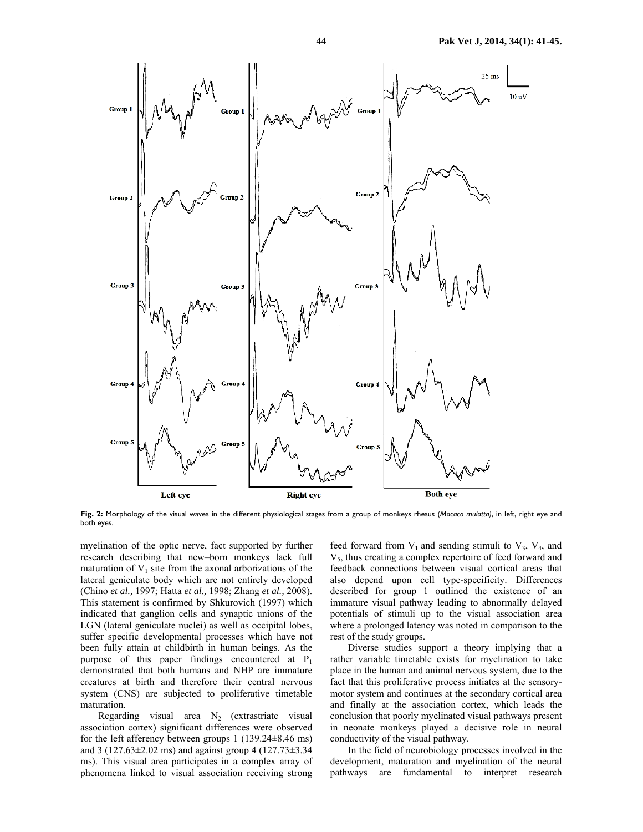

**Fig. 2:** Morphology of the visual waves in the different physiological stages from a group of monkeys rhesus (*Macaca mulatta)*, in left, right eye and both eyes.

myelination of the optic nerve, fact supported by further research describing that new–born monkeys lack full maturation of  $V_1$  site from the axonal arborizations of the lateral geniculate body which are not entirely developed (Chino *et al.,* 1997; Hatta *et al.,* 1998; Zhang *et al.,* 2008). This statement is confirmed by Shkurovich (1997) which indicated that ganglion cells and synaptic unions of the LGN (lateral geniculate nuclei) as well as occipital lobes, suffer specific developmental processes which have not been fully attain at childbirth in human beings. As the purpose of this paper findings encountered at  $P_1$ demonstrated that both humans and NHP are immature creatures at birth and therefore their central nervous system (CNS) are subjected to proliferative timetable maturation.

Regarding visual area  $N_2$  (extrastriate visual association cortex) significant differences were observed for the left afferency between groups 1 (139.24±8.46 ms) and 3 (127.63±2.02 ms) and against group 4 (127.73±3.34 ms). This visual area participates in a complex array of phenomena linked to visual association receiving strong

feed forward from  $V_1$  and sending stimuli to  $V_3$ ,  $V_4$ , and V5, thus creating a complex repertoire of feed forward and feedback connections between visual cortical areas that also depend upon cell type-specificity. Differences described for group 1 outlined the existence of an immature visual pathway leading to abnormally delayed potentials of stimuli up to the visual association area where a prolonged latency was noted in comparison to the rest of the study groups.

Diverse studies support a theory implying that a rather variable timetable exists for myelination to take place in the human and animal nervous system, due to the fact that this proliferative process initiates at the sensorymotor system and continues at the secondary cortical area and finally at the association cortex, which leads the conclusion that poorly myelinated visual pathways present in neonate monkeys played a decisive role in neural conductivity of the visual pathway.

In the field of neurobiology processes involved in the development, maturation and myelination of the neural pathways are fundamental to interpret research